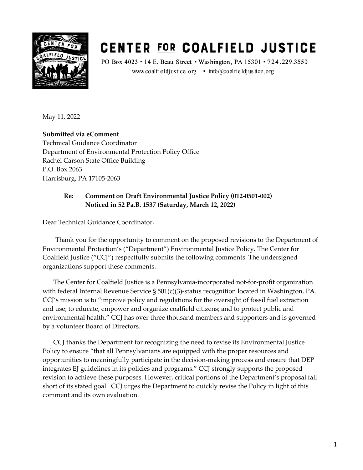

# **CENTER FOR COALFIELD JUSTICE**

PO Box 4023 · 14 E. Beau Street · Washington, PA 15301 · 724.229.3550 www.coalfieldjustice.org • info@coalfieldjustice.org

May 11, 2022

**Submitted via eComment**  Technical Guidance Coordinator Department of Environmental Protection Policy Office Rachel Carson State Office Building P.O. Box 2063 Harrisburg, PA 17105-2063

### **Re: Comment on Draft Environmental Justice Policy (012-0501-002) Noticed in 52 Pa.B. 1537 (Saturday, March 12, 2022)**

Dear Technical Guidance Coordinator,

Thank you for the opportunity to comment on the proposed revisions to the Department of Environmental Protection's ("Department") Environmental Justice Policy. The Center for Coalfield Justice ("CCJ") respectfully submits the following comments. The undersigned organizations support these comments.

The Center for Coalfield Justice is a Pennsylvania-incorporated not-for-profit organization with federal Internal Revenue Service § 501(c)(3)-status recognition located in Washington, PA. CCJ's mission is to "improve policy and regulations for the oversight of fossil fuel extraction and use; to educate, empower and organize coalfield citizens; and to protect public and environmental health." CCJ has over three thousand members and supporters and is governed by a volunteer Board of Directors.

CCJ thanks the Department for recognizing the need to revise its Environmental Justice Policy to ensure "that all Pennsylvanians are equipped with the proper resources and opportunities to meaningfully participate in the decision-making process and ensure that DEP integrates EJ guidelines in its policies and programs." CCJ strongly supports the proposed revision to achieve these purposes. However, critical portions of the Department's proposal fall short of its stated goal. CCJ urges the Department to quickly revise the Policy in light of this comment and its own evaluation.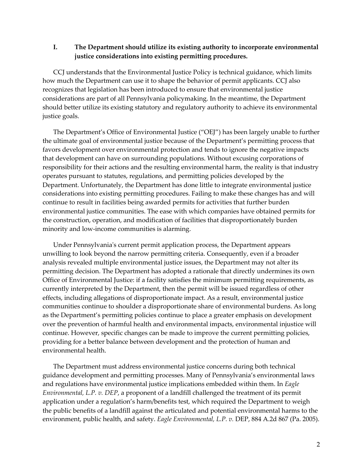#### **I. The Department should utilize its existing authority to incorporate environmental justice considerations into existing permitting procedures.**

CCJ understands that the Environmental Justice Policy is technical guidance, which limits how much the Department can use it to shape the behavior of permit applicants. CCJ also recognizes that legislation has been introduced to ensure that environmental justice considerations are part of all Pennsylvania policymaking. In the meantime, the Department should better utilize its existing statutory and regulatory authority to achieve its environmental justice goals.

The Department's Office of Environmental Justice ("OEJ") has been largely unable to further the ultimate goal of environmental justice because of the Department's permitting process that favors development over environmental protection and tends to ignore the negative impacts that development can have on surrounding populations. Without excusing corporations of responsibility for their actions and the resulting environmental harm, the reality is that industry operates pursuant to statutes, regulations, and permitting policies developed by the Department. Unfortunately, the Department has done little to integrate environmental justice considerations into existing permitting procedures. Failing to make these changes has and will continue to result in facilities being awarded permits for activities that further burden environmental justice communities. The ease with which companies have obtained permits for the construction, operation, and modification of facilities that disproportionately burden minority and low-income communities is alarming.

Under Pennsylvania's current permit application process, the Department appears unwilling to look beyond the narrow permitting criteria. Consequently, even if a broader analysis revealed multiple environmental justice issues, the Department may not alter its permitting decision. The Department has adopted a rationale that directly undermines its own Office of Environmental Justice: if a facility satisfies the minimum permitting requirements, as currently interpreted by the Department, then the permit will be issued regardless of other effects, including allegations of disproportionate impact. As a result, environmental justice communities continue to shoulder a disproportionate share of environmental burdens. As long as the Department's permitting policies continue to place a greater emphasis on development over the prevention of harmful health and environmental impacts, environmental injustice will continue. However, specific changes can be made to improve the current permitting policies, providing for a better balance between development and the protection of human and environmental health.

The Department must address environmental justice concerns during both technical guidance development and permitting processes. Many of Pennsylvania's environmental laws and regulations have environmental justice implications embedded within them. In *Eagle Environmental, L.P. v. DEP*, a proponent of a landfill challenged the treatment of its permit application under a regulation's harm/benefits test, which required the Department to weigh the public benefits of a landfill against the articulated and potential environmental harms to the environment, public health, and safety. *Eagle Environmental, L.P. v.* DEP, 884 A.2d 867 (Pa. 2005).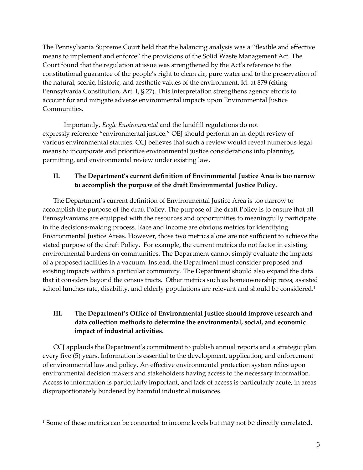The Pennsylvania Supreme Court held that the balancing analysis was a "flexible and effective means to implement and enforce" the provisions of the Solid Waste Management Act. The Court found that the regulation at issue was strengthened by the Act's reference to the constitutional guarantee of the people's right to clean air, pure water and to the preservation of the natural, scenic, historic, and aesthetic values of the environment. Id. at 879 (citing Pennsylvania Constitution, Art. I, § 27). This interpretation strengthens agency efforts to account for and mitigate adverse environmental impacts upon Environmental Justice Communities.

Importantly, *Eagle Environmental* and the landfill regulations do not expressly reference "environmental justice." OEJ should perform an in-depth review of various environmental statutes. CCJ believes that such a review would reveal numerous legal means to incorporate and prioritize environmental justice considerations into planning, permitting, and environmental review under existing law.

#### **II. The Department's current definition of Environmental Justice Area is too narrow to accomplish the purpose of the draft Environmental Justice Policy.**

The Department's current definition of Environmental Justice Area is too narrow to accomplish the purpose of the draft Policy. The purpose of the draft Policy is to ensure that all Pennsylvanians are equipped with the resources and opportunities to meaningfully participate in the decisions-making process. Race and income are obvious metrics for identifying Environmental Justice Areas. However, those two metrics alone are not sufficient to achieve the stated purpose of the draft Policy. For example, the current metrics do not factor in existing environmental burdens on communities. The Department cannot simply evaluate the impacts of a proposed facilities in a vacuum. Instead, the Department must consider proposed and existing impacts within a particular community. The Department should also expand the data that it considers beyond the census tracts. Other metrics such as homeownership rates, assisted school lunches rate, disability, and elderly populations are relevant and should be considered.<sup>1</sup>

## **III. The Department's Office of Environmental Justice should improve research and data collection methods to determine the environmental, social, and economic impact of industrial activities.**

CCJ applauds the Department's commitment to publish annual reports and a strategic plan every five (5) years. Information is essential to the development, application, and enforcement of environmental law and policy. An effective environmental protection system relies upon environmental decision makers and stakeholders having access to the necessary information. Access to information is particularly important, and lack of access is particularly acute, in areas disproportionately burdened by harmful industrial nuisances.

<sup>&</sup>lt;sup>1</sup> Some of these metrics can be connected to income levels but may not be directly correlated.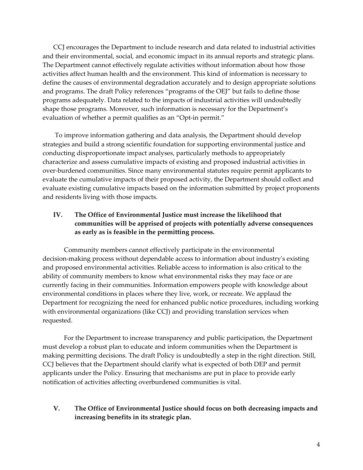CCJ encourages the Department to include research and data related to industrial activities and their environmental, social, and economic impact in its annual reports and strategic plans. The Department cannot effectively regulate activities without information about how those activities affect human health and the environment. This kind of information is necessary to define the causes of environmental degradation accurately and to design appropriate solutions and programs. The draft Policy references "programs of the OEJ" but fails to define those programs adequately. Data related to the impacts of industrial activities will undoubtedly shape those programs. Moreover, such information is necessary for the Department's evaluation of whether a permit qualifies as an "Opt-in permit."

To improve information gathering and data analysis, the Department should develop strategies and build a strong scientific foundation for supporting environmental justice and conducting disproportionate impact analyses, particularly methods to appropriately characterize and assess cumulative impacts of existing and proposed industrial activities in over-burdened communities. Since many environmental statutes require permit applicants to evaluate the cumulative impacts of their proposed activity, the Department should collect and evaluate existing cumulative impacts based on the information submitted by project proponents and residents living with those impacts.

### **IV. The Office of Environmental Justice must increase the likelihood that communities will be apprised of projects with potentially adverse consequences as early as is feasible in the permitting process.**

Community members cannot effectively participate in the environmental decision-making process without dependable access to information about industry's existing and proposed environmental activities. Reliable access to information is also critical to the ability of community members to know what environmental risks they may face or are currently facing in their communities. Information empowers people with knowledge about environmental conditions in places where they live, work, or recreate. We applaud the Department for recognizing the need for enhanced public notice procedures, including working with environmental organizations (like CCJ) and providing translation services when requested.

For the Department to increase transparency and public participation, the Department must develop a robust plan to educate and inform communities when the Department is making permitting decisions. The draft Policy is undoubtedly a step in the right direction. Still, CCJ believes that the Department should clarify what is expected of both DEP and permit applicants under the Policy. Ensuring that mechanisms are put in place to provide early notification of activities affecting overburdened communities is vital.

#### **V. The Office of Environmental Justice should focus on both decreasing impacts and increasing benefits in its strategic plan.**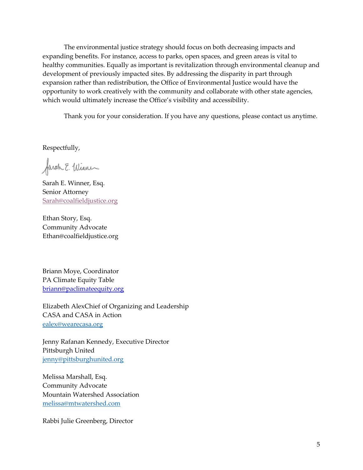The environmental justice strategy should focus on both decreasing impacts and expanding benefits. For instance, access to parks, open spaces, and green areas is vital to healthy communities. Equally as important is revitalization through environmental cleanup and development of previously impacted sites. By addressing the disparity in part through expansion rather than redistribution, the Office of Environmental Justice would have the opportunity to work creatively with the community and collaborate with other state agencies, which would ultimately increase the Office's visibility and accessibility.

Thank you for your consideration. If you have any questions, please contact us anytime.

Respectfully,

farah E. Winner

Sarah E. Winner, Esq. Senior Attorney Sarah@coalfieldjustice.org

Ethan Story, Esq. Community Advocate Ethan@coalfieldjustice.org

Briann Moye, Coordinator PA Climate Equity Table briann@paclimateequity.org

Elizabeth AlexChief of Organizing and Leadership CASA and CASA in Action ealex@wearecasa.org

Jenny Rafanan Kennedy, Executive Director Pittsburgh United jenny@pittsburghunited.org

Melissa Marshall, Esq. Community Advocate Mountain Watershed Association melissa@mtwatershed.com

Rabbi Julie Greenberg, Director